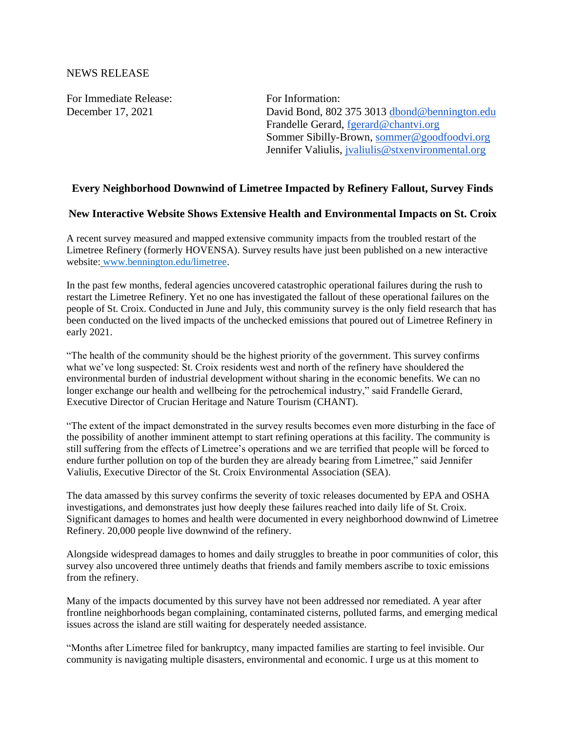For Immediate Release: For Information:

December 17, 2021 David Bond, 802 375 3013 [dbond@bennington.edu](mailto:dbond@bennington.edu) Frandelle Gerard, [fgerard@chantvi.org](mailto:fgerard@chantvi.org) Sommer Sibilly-Brown, [sommer@goodfoodvi.org](mailto:sommer@goodfoodvi.org) Jennifer Valiulis, *jvaliulis@stxenvironmental.org* 

## **Every Neighborhood Downwind of Limetree Impacted by Refinery Fallout, Survey Finds**

## **New Interactive Website Shows Extensive Health and Environmental Impacts on St. Croix**

A recent survey measured and mapped extensive community impacts from the troubled restart of the Limetree Refinery (formerly HOVENSA). Survey results have just been published on a new interactive website: [www.bennington.edu/limetree.](http://www.bennington.edu/limetree)

In the past few months, federal agencies uncovered catastrophic operational failures during the rush to restart the Limetree Refinery. Yet no one has investigated the fallout of these operational failures on the people of St. Croix. Conducted in June and July, this community survey is the only field research that has been conducted on the lived impacts of the unchecked emissions that poured out of Limetree Refinery in early 2021.

"The health of the community should be the highest priority of the government. This survey confirms what we've long suspected: St. Croix residents west and north of the refinery have shouldered the environmental burden of industrial development without sharing in the economic benefits. We can no longer exchange our health and wellbeing for the petrochemical industry," said Frandelle Gerard, Executive Director of Crucian Heritage and Nature Tourism (CHANT).

"The extent of the impact demonstrated in the survey results becomes even more disturbing in the face of the possibility of another imminent attempt to start refining operations at this facility. The community is still suffering from the effects of Limetree's operations and we are terrified that people will be forced to endure further pollution on top of the burden they are already bearing from Limetree," said Jennifer Valiulis, Executive Director of the St. Croix Environmental Association (SEA).

The data amassed by this survey confirms the severity of toxic releases documented by EPA and OSHA investigations, and demonstrates just how deeply these failures reached into daily life of St. Croix. Significant damages to homes and health were documented in every neighborhood downwind of Limetree Refinery. 20,000 people live downwind of the refinery.

Alongside widespread damages to homes and daily struggles to breathe in poor communities of color, this survey also uncovered three untimely deaths that friends and family members ascribe to toxic emissions from the refinery.

Many of the impacts documented by this survey have not been addressed nor remediated. A year after frontline neighborhoods began complaining, contaminated cisterns, polluted farms, and emerging medical issues across the island are still waiting for desperately needed assistance.

"Months after Limetree filed for bankruptcy, many impacted families are starting to feel invisible. Our community is navigating multiple disasters, environmental and economic. I urge us at this moment to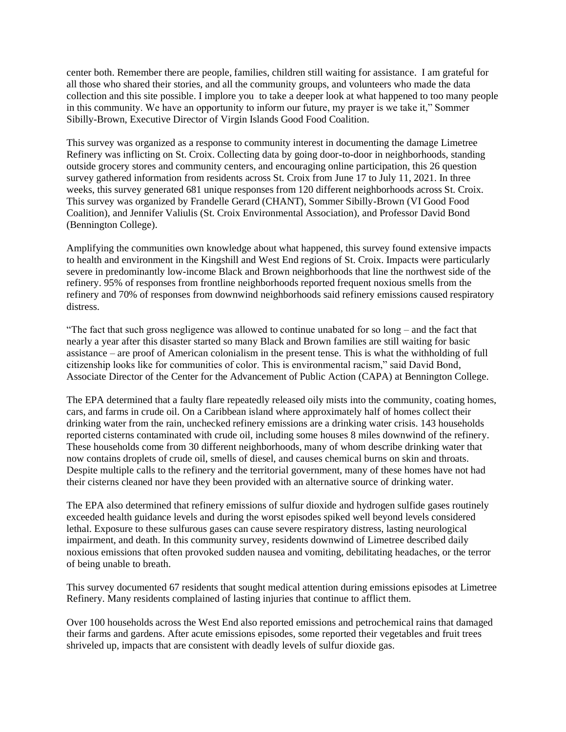center both. Remember there are people, families, children still waiting for assistance. I am grateful for all those who shared their stories, and all the community groups, and volunteers who made the data collection and this site possible. I implore you to take a deeper look at what happened to too many people in this community. We have an opportunity to inform our future, my prayer is we take it," Sommer Sibilly-Brown, Executive Director of Virgin Islands Good Food Coalition.

This survey was organized as a response to community interest in documenting the damage Limetree Refinery was inflicting on St. Croix. Collecting data by going door-to-door in neighborhoods, standing outside grocery stores and community centers, and encouraging online participation, this 26 question survey gathered information from residents across St. Croix from June 17 to July 11, 2021. In three weeks, this survey generated 681 unique responses from 120 different neighborhoods across St. Croix. This survey was organized by Frandelle Gerard (CHANT), Sommer Sibilly-Brown (VI Good Food Coalition), and Jennifer Valiulis (St. Croix Environmental Association), and Professor David Bond (Bennington College).

Amplifying the communities own knowledge about what happened, this survey found extensive impacts to health and environment in the Kingshill and West End regions of St. Croix. Impacts were particularly severe in predominantly low-income Black and Brown neighborhoods that line the northwest side of the refinery. 95% of responses from frontline neighborhoods reported frequent noxious smells from the refinery and 70% of responses from downwind neighborhoods said refinery emissions caused respiratory distress.

"The fact that such gross negligence was allowed to continue unabated for so long – and the fact that nearly a year after this disaster started so many Black and Brown families are still waiting for basic assistance – are proof of American colonialism in the present tense. This is what the withholding of full citizenship looks like for communities of color. This is environmental racism," said David Bond, Associate Director of the Center for the Advancement of Public Action (CAPA) at Bennington College.

The EPA determined that a faulty flare repeatedly released oily mists into the community, coating homes, cars, and farms in crude oil. On a Caribbean island where approximately half of homes collect their drinking water from the rain, unchecked refinery emissions are a drinking water crisis. 143 households reported cisterns contaminated with crude oil, including some houses 8 miles downwind of the refinery. These households come from 30 different neighborhoods, many of whom describe drinking water that now contains droplets of crude oil, smells of diesel, and causes chemical burns on skin and throats. Despite multiple calls to the refinery and the territorial government, many of these homes have not had their cisterns cleaned nor have they been provided with an alternative source of drinking water.

The EPA also determined that refinery emissions of sulfur dioxide and hydrogen sulfide gases routinely exceeded health guidance levels and during the worst episodes spiked well beyond levels considered lethal. Exposure to these sulfurous gases can cause severe respiratory distress, lasting neurological impairment, and death. In this community survey, residents downwind of Limetree described daily noxious emissions that often provoked sudden nausea and vomiting, debilitating headaches, or the terror of being unable to breath.

This survey documented 67 residents that sought medical attention during emissions episodes at Limetree Refinery. Many residents complained of lasting injuries that continue to afflict them.

Over 100 households across the West End also reported emissions and petrochemical rains that damaged their farms and gardens. After acute emissions episodes, some reported their vegetables and fruit trees shriveled up, impacts that are consistent with deadly levels of sulfur dioxide gas.